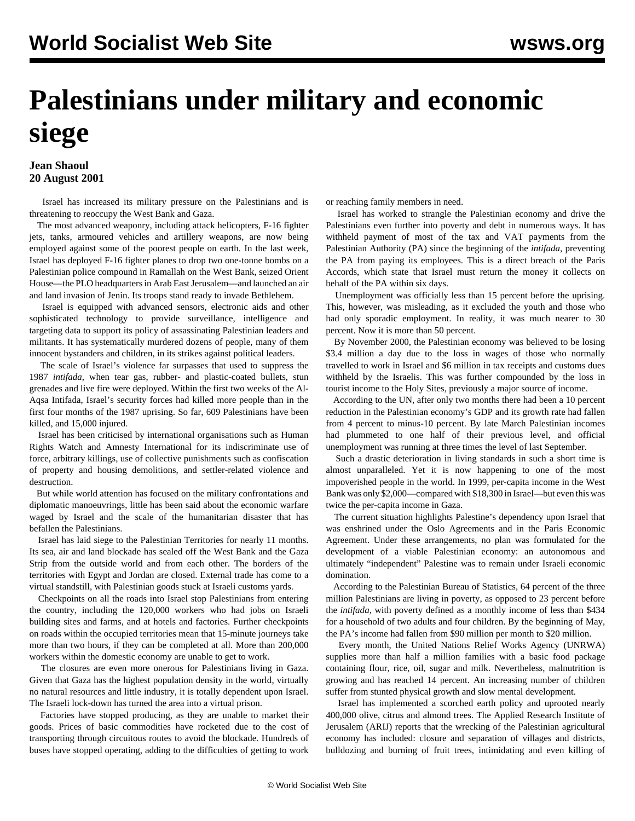## **Palestinians under military and economic siege**

## **Jean Shaoul 20 August 2001**

 Israel has increased its military pressure on the Palestinians and is threatening to reoccupy the West Bank and Gaza.

 The most advanced weaponry, including attack helicopters, F-16 fighter jets, tanks, armoured vehicles and artillery weapons, are now being employed against some of the poorest people on earth. In the last week, Israel has deployed F-16 fighter planes to drop two one-tonne bombs on a Palestinian police compound in Ramallah on the West Bank, seized Orient House—the PLO headquarters in Arab East Jerusalem—and launched an air and land invasion of Jenin. Its troops stand ready to invade Bethlehem.

 Israel is equipped with advanced sensors, electronic aids and other sophisticated technology to provide surveillance, intelligence and targeting data to support its policy of assassinating Palestinian leaders and militants. It has systematically murdered dozens of people, many of them innocent bystanders and children, in its strikes against political leaders.

 The scale of Israel's violence far surpasses that used to suppress the 1987 *intifada*, when tear gas, rubber- and plastic-coated bullets, stun grenades and live fire were deployed. Within the first two weeks of the Al-Aqsa Intifada, Israel's security forces had killed more people than in the first four months of the 1987 uprising. So far, 609 Palestinians have been killed, and 15,000 injured.

 Israel has been criticised by international organisations such as Human Rights Watch and Amnesty International for its indiscriminate use of force, arbitrary killings, use of collective punishments such as confiscation of property and housing demolitions, and settler-related violence and destruction.

 But while world attention has focused on the military confrontations and diplomatic manoeuvrings, little has been said about the economic warfare waged by Israel and the scale of the humanitarian disaster that has befallen the Palestinians.

 Israel has laid siege to the Palestinian Territories for nearly 11 months. Its sea, air and land blockade has sealed off the West Bank and the Gaza Strip from the outside world and from each other. The borders of the territories with Egypt and Jordan are closed. External trade has come to a virtual standstill, with Palestinian goods stuck at Israeli customs yards.

 Checkpoints on all the roads into Israel stop Palestinians from entering the country, including the 120,000 workers who had jobs on Israeli building sites and farms, and at hotels and factories. Further checkpoints on roads within the occupied territories mean that 15-minute journeys take more than two hours, if they can be completed at all. More than 200,000 workers within the domestic economy are unable to get to work.

 The closures are even more onerous for Palestinians living in Gaza. Given that Gaza has the highest population density in the world, virtually no natural resources and little industry, it is totally dependent upon Israel. The Israeli lock-down has turned the area into a virtual prison.

 Factories have stopped producing, as they are unable to market their goods. Prices of basic commodities have rocketed due to the cost of transporting through circuitous routes to avoid the blockade. Hundreds of buses have stopped operating, adding to the difficulties of getting to work

or reaching family members in need.

 Israel has worked to strangle the Palestinian economy and drive the Palestinians even further into poverty and debt in numerous ways. It has withheld payment of most of the tax and VAT payments from the Palestinian Authority (PA) since the beginning of the *intifada*, preventing the PA from paying its employees. This is a direct breach of the Paris Accords, which state that Israel must return the money it collects on behalf of the PA within six days.

 Unemployment was officially less than 15 percent before the uprising. This, however, was misleading, as it excluded the youth and those who had only sporadic employment. In reality, it was much nearer to 30 percent. Now it is more than 50 percent.

 By November 2000, the Palestinian economy was believed to be losing \$3.4 million a day due to the loss in wages of those who normally travelled to work in Israel and \$6 million in tax receipts and customs dues withheld by the Israelis. This was further compounded by the loss in tourist income to the Holy Sites, previously a major source of income.

 According to the UN, after only two months there had been a 10 percent reduction in the Palestinian economy's GDP and its growth rate had fallen from 4 percent to minus-10 percent. By late March Palestinian incomes had plummeted to one half of their previous level, and official unemployment was running at three times the level of last September.

 Such a drastic deterioration in living standards in such a short time is almost unparalleled. Yet it is now happening to one of the most impoverished people in the world. In 1999, per-capita income in the West Bank was only \$2,000—compared with \$18,300 in Israel—but even this was twice the per-capita income in Gaza.

 The current situation highlights Palestine's dependency upon Israel that was enshrined under the Oslo Agreements and in the Paris Economic Agreement. Under these arrangements, no plan was formulated for the development of a viable Palestinian economy: an autonomous and ultimately "independent" Palestine was to remain under Israeli economic domination.

 According to the Palestinian Bureau of Statistics, 64 percent of the three million Palestinians are living in poverty, as opposed to 23 percent before the *intifada*, with poverty defined as a monthly income of less than \$434 for a household of two adults and four children. By the beginning of May, the PA's income had fallen from \$90 million per month to \$20 million.

 Every month, the United Nations Relief Works Agency (UNRWA) supplies more than half a million families with a basic food package containing flour, rice, oil, sugar and milk. Nevertheless, malnutrition is growing and has reached 14 percent. An increasing number of children suffer from stunted physical growth and slow mental development.

 Israel has implemented a scorched earth policy and uprooted nearly 400,000 olive, citrus and almond trees. The Applied Research Institute of Jerusalem (ARIJ) reports that the wrecking of the Palestinian agricultural economy has included: closure and separation of villages and districts, bulldozing and burning of fruit trees, intimidating and even killing of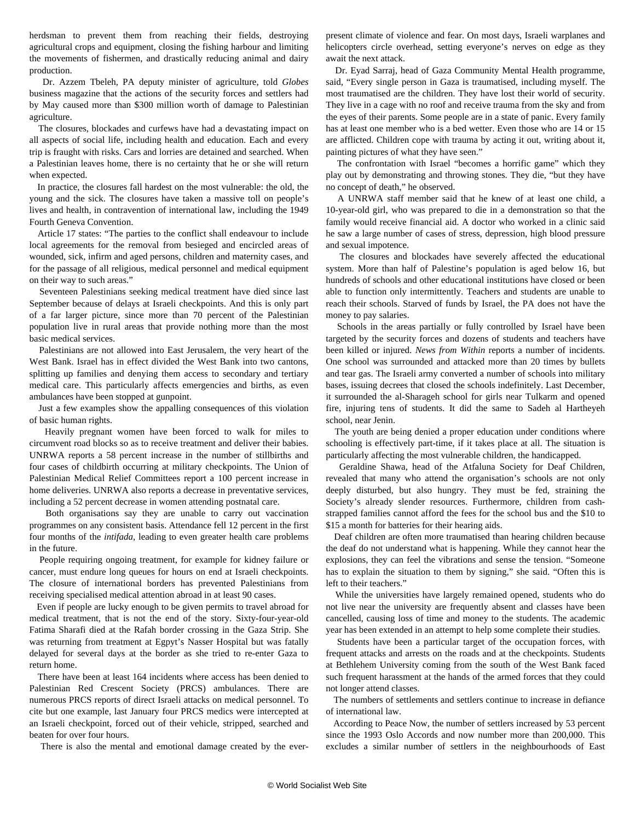herdsman to prevent them from reaching their fields, destroying agricultural crops and equipment, closing the fishing harbour and limiting the movements of fishermen, and drastically reducing animal and dairy production.

 Dr. Azzem Tbeleh, PA deputy minister of agriculture, told *Globes* business magazine that the actions of the security forces and settlers had by May caused more than \$300 million worth of damage to Palestinian agriculture.

 The closures, blockades and curfews have had a devastating impact on all aspects of social life, including health and education. Each and every trip is fraught with risks. Cars and lorries are detained and searched. When a Palestinian leaves home, there is no certainty that he or she will return when expected.

 In practice, the closures fall hardest on the most vulnerable: the old, the young and the sick. The closures have taken a massive toll on people's lives and health, in contravention of international law, including the 1949 Fourth Geneva Convention.

 Article 17 states: "The parties to the conflict shall endeavour to include local agreements for the removal from besieged and encircled areas of wounded, sick, infirm and aged persons, children and maternity cases, and for the passage of all religious, medical personnel and medical equipment on their way to such areas."

 Seventeen Palestinians seeking medical treatment have died since last September because of delays at Israeli checkpoints. And this is only part of a far larger picture, since more than 70 percent of the Palestinian population live in rural areas that provide nothing more than the most basic medical services.

 Palestinians are not allowed into East Jerusalem, the very heart of the West Bank. Israel has in effect divided the West Bank into two cantons, splitting up families and denying them access to secondary and tertiary medical care. This particularly affects emergencies and births, as even ambulances have been stopped at gunpoint.

 Just a few examples show the appalling consequences of this violation of basic human rights.

 Heavily pregnant women have been forced to walk for miles to circumvent road blocks so as to receive treatment and deliver their babies. UNRWA reports a 58 percent increase in the number of stillbirths and four cases of childbirth occurring at military checkpoints. The Union of Palestinian Medical Relief Committees report a 100 percent increase in home deliveries. UNRWA also reports a decrease in preventative services, including a 52 percent decrease in women attending postnatal care.

 Both organisations say they are unable to carry out vaccination programmes on any consistent basis. Attendance fell 12 percent in the first four months of the *intifada*, leading to even greater health care problems in the future.

 People requiring ongoing treatment, for example for kidney failure or cancer, must endure long queues for hours on end at Israeli checkpoints. The closure of international borders has prevented Palestinians from receiving specialised medical attention abroad in at least 90 cases.

 Even if people are lucky enough to be given permits to travel abroad for medical treatment, that is not the end of the story. Sixty-four-year-old Fatima Sharafi died at the Rafah border crossing in the Gaza Strip. She was returning from treatment at Egpyt's Nasser Hospital but was fatally delayed for several days at the border as she tried to re-enter Gaza to return home.

 There have been at least 164 incidents where access has been denied to Palestinian Red Crescent Society (PRCS) ambulances. There are numerous PRCS reports of direct Israeli attacks on medical personnel. To cite but one example, last January four PRCS medics were intercepted at an Israeli checkpoint, forced out of their vehicle, stripped, searched and beaten for over four hours.

There is also the mental and emotional damage created by the ever-

present climate of violence and fear. On most days, Israeli warplanes and helicopters circle overhead, setting everyone's nerves on edge as they await the next attack.

 Dr. Eyad Sarraj, head of Gaza Community Mental Health programme, said, "Every single person in Gaza is traumatised, including myself. The most traumatised are the children. They have lost their world of security. They live in a cage with no roof and receive trauma from the sky and from the eyes of their parents. Some people are in a state of panic. Every family has at least one member who is a bed wetter. Even those who are 14 or 15 are afflicted. Children cope with trauma by acting it out, writing about it, painting pictures of what they have seen."

 The confrontation with Israel "becomes a horrific game" which they play out by demonstrating and throwing stones. They die, "but they have no concept of death," he observed.

 A UNRWA staff member said that he knew of at least one child, a 10-year-old girl, who was prepared to die in a demonstration so that the family would receive financial aid. A doctor who worked in a clinic said he saw a large number of cases of stress, depression, high blood pressure and sexual impotence.

 The closures and blockades have severely affected the educational system. More than half of Palestine's population is aged below 16, but hundreds of schools and other educational institutions have closed or been able to function only intermittently. Teachers and students are unable to reach their schools. Starved of funds by Israel, the PA does not have the money to pay salaries.

 Schools in the areas partially or fully controlled by Israel have been targeted by the security forces and dozens of students and teachers have been killed or injured. *News from Within* reports a number of incidents. One school was surrounded and attacked more than 20 times by bullets and tear gas. The Israeli army converted a number of schools into military bases, issuing decrees that closed the schools indefinitely. Last December, it surrounded the al-Sharageh school for girls near Tulkarm and opened fire, injuring tens of students. It did the same to Sadeh al Hartheyeh school, near Jenin.

 The youth are being denied a proper education under conditions where schooling is effectively part-time, if it takes place at all. The situation is particularly affecting the most vulnerable children, the handicapped.

 Geraldine Shawa, head of the Atfaluna Society for Deaf Children, revealed that many who attend the organisation's schools are not only deeply disturbed, but also hungry. They must be fed, straining the Society's already slender resources. Furthermore, children from cashstrapped families cannot afford the fees for the school bus and the \$10 to \$15 a month for batteries for their hearing aids.

 Deaf children are often more traumatised than hearing children because the deaf do not understand what is happening. While they cannot hear the explosions, they can feel the vibrations and sense the tension. "Someone has to explain the situation to them by signing," she said. "Often this is left to their teachers."

 While the universities have largely remained opened, students who do not live near the university are frequently absent and classes have been cancelled, causing loss of time and money to the students. The academic year has been extended in an attempt to help some complete their studies.

 Students have been a particular target of the occupation forces, with frequent attacks and arrests on the roads and at the checkpoints. Students at Bethlehem University coming from the south of the West Bank faced such frequent harassment at the hands of the armed forces that they could not longer attend classes.

 The numbers of settlements and settlers continue to increase in defiance of international law.

 According to Peace Now, the number of settlers increased by 53 percent since the 1993 Oslo Accords and now number more than 200,000. This excludes a similar number of settlers in the neighbourhoods of East